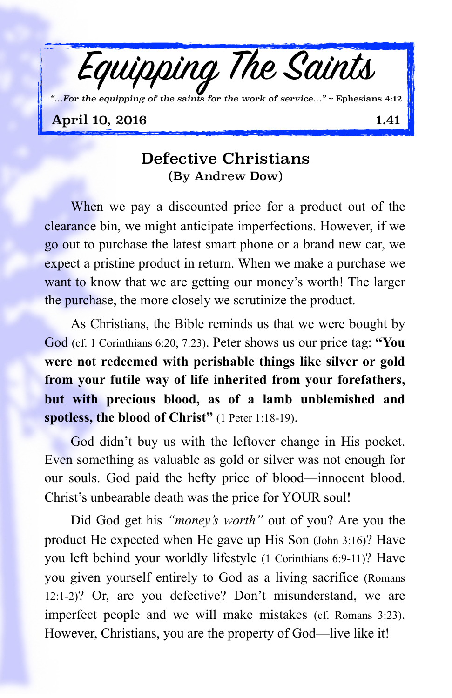

## Defective Christians (By Andrew Dow)

When we pay a discounted price for a product out of the clearance bin, we might anticipate imperfections. However, if we go out to purchase the latest smart phone or a brand new car, we expect a pristine product in return. When we make a purchase we want to know that we are getting our money's worth! The larger the purchase, the more closely we scrutinize the product.

As Christians, the Bible reminds us that we were bought by God (cf. 1 Corinthians 6:20; 7:23). Peter shows us our price tag: **"You were not redeemed with perishable things like silver or gold from your futile way of life inherited from your forefathers, but with precious blood, as of a lamb unblemished and spotless, the blood of Christ"** (1 Peter 1:18-19).

God didn't buy us with the leftover change in His pocket. Even something as valuable as gold or silver was not enough for our souls. God paid the hefty price of blood—innocent blood. Christ's unbearable death was the price for YOUR soul!

Did God get his *"money's worth"* out of you? Are you the product He expected when He gave up His Son (John 3:16)? Have you left behind your worldly lifestyle (1 Corinthians 6:9-11)? Have you given yourself entirely to God as a living sacrifice (Romans 12:1-2)? Or, are you defective? Don't misunderstand, we are imperfect people and we will make mistakes (cf. Romans 3:23). However, Christians, you are the property of God—live like it!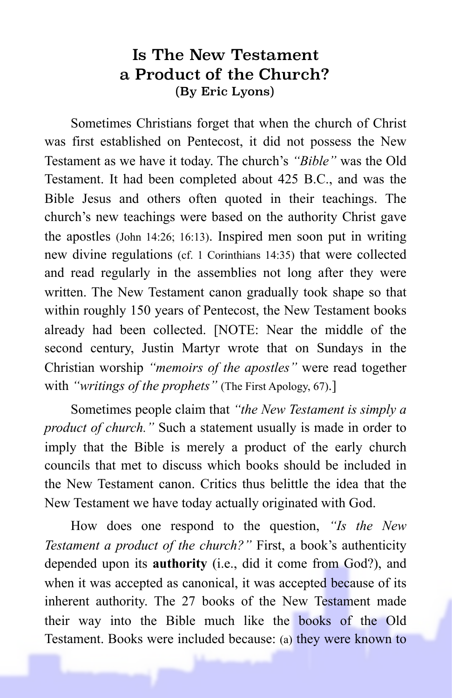## Is The New Testament a Product of the Church? (By Eric Lyons)

Sometimes Christians forget that when the church of Christ was first established on Pentecost, it did not possess the New Testament as we have it today. The church's *"Bible"* was the Old Testament. It had been completed about 425 B.C., and was the Bible Jesus and others often quoted in their teachings. The church's new teachings were based on the authority Christ gave the apostles (John 14:26; 16:13). Inspired men soon put in writing new divine regulations (cf. 1 Corinthians 14:35) that were collected and read regularly in the assemblies not long after they were written. The New Testament canon gradually took shape so that within roughly 150 years of Pentecost, the New Testament books already had been collected. [NOTE: Near the middle of the second century, Justin Martyr wrote that on Sundays in the Christian worship *"memoirs of the apostles"* were read together with *"writings of the prophets"* (The First Apology, 67).]

Sometimes people claim that *"the New Testament is simply a product of church."* Such a statement usually is made in order to imply that the Bible is merely a product of the early church councils that met to discuss which books should be included in the New Testament canon. Critics thus belittle the idea that the New Testament we have today actually originated with God.

How does one respond to the question, *"Is the New Testament a product of the church?"* First, a book's authenticity depended upon its **authority** (i.e., did it come from God?), and when it was accepted as canonical, it was accepted because of its inherent authority. The 27 books of the New Testament made their way into the Bible much like the books of the Old Testament. Books were included because: (a) they were known to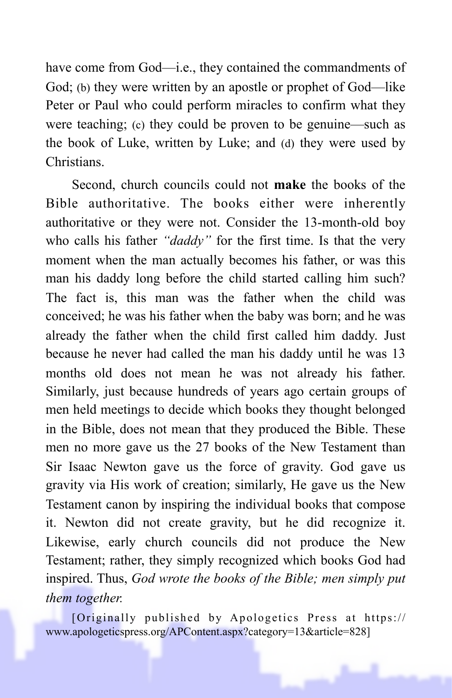have come from God—i.e., they contained the commandments of God; (b) they were written by an apostle or prophet of God—like Peter or Paul who could perform miracles to confirm what they were teaching; (c) they could be proven to be genuine—such as the book of Luke, written by Luke; and (d) they were used by Christians.

Second, church councils could not **make** the books of the Bible authoritative. The books either were inherently authoritative or they were not. Consider the 13-month-old boy who calls his father *"daddy"* for the first time. Is that the very moment when the man actually becomes his father, or was this man his daddy long before the child started calling him such? The fact is, this man was the father when the child was conceived; he was his father when the baby was born; and he was already the father when the child first called him daddy. Just because he never had called the man his daddy until he was 13 months old does not mean he was not already his father. Similarly, just because hundreds of years ago certain groups of men held meetings to decide which books they thought belonged in the Bible, does not mean that they produced the Bible. These men no more gave us the 27 books of the New Testament than Sir Isaac Newton gave us the force of gravity. God gave us gravity via His work of creation; similarly, He gave us the New Testament canon by inspiring the individual books that compose it. Newton did not create gravity, but he did recognize it. Likewise, early church councils did not produce the New Testament; rather, they simply recognized which books God had inspired. Thus, *God wrote the books of the Bible; men simply put them together.* 

[Originally published by Apologetics Press at https:// www.apologeticspress.org/APContent.aspx?category=13&article=828]